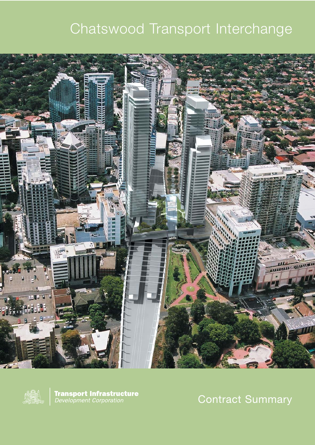# Chatswood Transport Interchange





**Transport Infrastructure**<br>Development Corporation

Contract Summary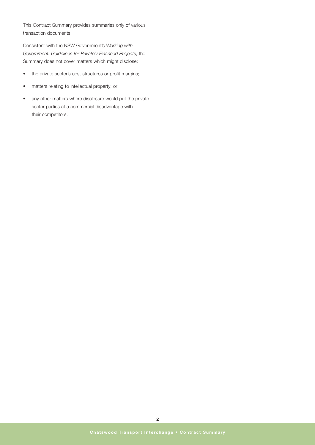This Contract Summary provides summaries only of various transaction documents.

Consistent with the NSW Government's *Working with Government: Guidelines for Privately Financed Projects*, the Summary does not cover matters which might disclose:

- the private sector's cost structures or profit margins;
- matters relating to intellectual property; or
- any other matters where disclosure would put the private sector parties at a commercial disadvantage with their competitors.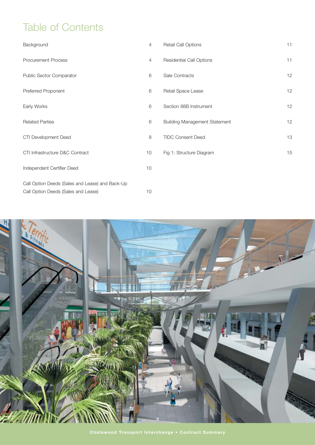# Table of Contents

| Background                                      | $\overline{4}$ | Retail Call Options                  | 11 |
|-------------------------------------------------|----------------|--------------------------------------|----|
| <b>Procurement Process</b>                      | $\overline{4}$ | <b>Residential Call Options</b>      | 11 |
| Public Sector Comparator                        | 6              | Sale Contracts                       | 12 |
| Preferred Proponent                             | 6              | Retail Space Lease                   | 12 |
| Early Works                                     | 6              | Section 88B Instrument               | 12 |
| <b>Related Parties</b>                          | 6              | <b>Building Management Statement</b> | 12 |
| CTI Development Deed                            | 8              | <b>TIDC Consent Deed</b>             | 13 |
| CTI Infrastructure D&C Contract                 | 10             | Fig 1: Structure Diagram             | 15 |
| Independent Certifier Deed                      | 10             |                                      |    |
| Call Option Deeds (Sales and Lease) and Back-Up |                |                                      |    |
| Call Option Deeds (Sales and Lease)             | 10             |                                      |    |

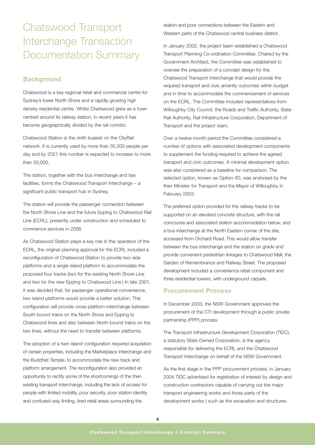# Chatswood Transport Interchange Transaction Documentation Summary

## **Background**

Chatswood is a key regional retail and commercial centre for Sydney's lower North Shore and a rapidly growing high density residential centre. Whilst Chatswood grew as a town centred around its railway station, in recent years it has become geographically divided by the rail corridor.

Chatswood Station is the ninth busiest on the CityRail network. It is currently used by more than 35,000 people per day and by 2021 this number is expected to increase to more than 50,000.

The station, together with the bus interchange and taxi facilities, forms the Chatswood Transport Interchange – a significant public transport hub in Sydney.

The station will provide the passenger connection between the North Shore Line and the future Epping to Chatswood Rail Line (ECRL), presently under construction and scheduled to commence services in 2008.

As Chatswood Station plays a key role in the operation of the ECRL, the original planning approval for the ECRL included a reconfiguration of Chatswood Station to provide two side platforms and a single island platform to accommodate the proposed four tracks (two for the existing North Shore Line and two for the new Epping to Chatswood Line.) In late 2001, it was decided that, for passenger operational convenience, two island platforms would provide a better solution. This configuration will provide cross-platform interchange between South-bound trains on the North Shore and Epping to Chatswood lines and also between North-bound trains on the two lines, without the need to transfer between platforms.

The adoption of a twin island configuration required acquisition of certain properties, including the Marketplace Interchange and the Buddhist Temple, to accommodate the new track and platform arrangement. The reconfiguration also provided an opportunity to rectify some of the shortcomings of the then existing transport interchange, including the lack of access for people with limited mobility, poor security, poor station identity and confused way finding, tired retail areas surrounding the

station and poor connections between the Eastern and Western parts of the Chatswood central business district.

In January 2002, the project team established a Chatswood Transport Planning Co-ordination Committee. Chaired by the Government Architect, the Committee was established to oversee the preparation of a concept design for the Chatswood Transport Interchange that would provide the required transport and civic amenity outcomes within budget and in time to accommodate the commencement of services on the ECRL. The Committee included representatives from Willoughby City Council, the Roads and Traffic Authority, State Rail Authority, Rail Infrastructure Corporation, Department of Transport and the project team.

Over a twelve month period the Committee considered a number of options with associated development components to supplement the funding required to achieve the agreed transport and civic outcomes. A minimal development option was also considered as a baseline for comparison. The selected option, known as Option 4D, was endorsed by the then Minister for Transport and the Mayor of Willoughby in February 2003.

The preferred option provided for the railway tracks to be supported on an elevated concrete structure, with the rail concourse and associated station accommodation below, and a bus interchange at the North Eastern corner of the site, accessed from Orchard Road. This would allow transfer between the bus interchange and the station on grade and provide convenient pedestrian linkages to Chatswood Mall, the Garden of Remembrance and Railway Street. The proposed development included a convenience retail component and three residential towers, with underground carpark.

#### **Procurement Process**

In December 2003, the NSW Government approved the procurement of the CTI development through a public private partnership (PPP) process.

The Transport Infrastructure Development Corporation (TIDC), a statutory State Owned Corporation, is the agency responsible for delivering the ECRL and the Chatswood Transport Interchange on behalf of the NSW Government.

As the first stage in the PPP procurement process, in January 2004 TIDC advertised for registration of interest by design and construction contractors capable of carrying out the major transport engineering works and those parts of the development works ( such as the excavation and structures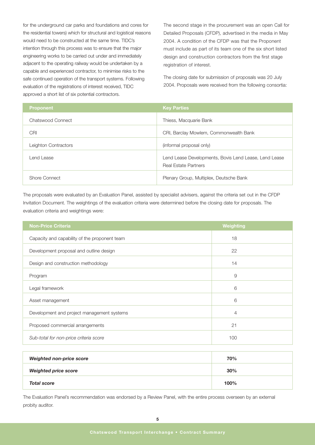for the underground car parks and foundations and cores for the residential towers) which for structural and logistical reasons would need to be constructed at the same time. TIDC's intention through this process was to ensure that the major engineering works to be carried out under and immediately adjacent to the operating railway would be undertaken by a capable and experienced contractor, to minimise risks to the safe continued operation of the transport systems. Following evaluation of the registrations of interest received, TIDC approved a short list of six potential contractors.

The second stage in the procurement was an open Call for Detailed Proposals (CFDP), advertised in the media in May 2004. A condition of the CFDP was that the Proponent must include as part of its team one of the six short listed design and construction contractors from the first stage registration of interest.

The closing date for submission of proposals was 20 July 2004. Proposals were received from the following consortia:

| <b>Proponent</b>     | <b>Key Parties</b>                                                                   |
|----------------------|--------------------------------------------------------------------------------------|
| Chatswood Connect    | Thiess, Macquarie Bank                                                               |
| <b>CRI</b>           | CRI, Barclay Mowlem, Commonwealth Bank                                               |
| Leighton Contractors | (informal proposal only)                                                             |
| Lend Lease           | Lend Lease Developments, Bovis Lend Lease, Lend Lease<br><b>Real Estate Partners</b> |
| Shore Connect        | Plenary Group, Multiplex, Deutsche Bank                                              |

The proposals were evaluated by an Evaluation Panel, assisted by specialist advisers, against the criteria set out in the CFDP Invitation Document. The weightings of the evaluation criteria were determined before the closing date for proposals. The evaluation criteria and weightings were:

| <b>Non-Price Criteria</b>                     | <b>Weighting</b> |
|-----------------------------------------------|------------------|
| Capacity and capability of the proponent team | 18               |
| Development proposal and outline design       | 22               |
| Design and construction methodology           | 14               |
| Program                                       | 9                |
| Legal framework                               | 6                |
| Asset management                              | 6                |
| Development and project management systems    | 4                |
| Proposed commercial arrangements              | 21               |
| Sub-total for non-price criteria score        | 100              |

| <b>Weighted non-price score</b> | 70%  |
|---------------------------------|------|
| <b>Weighted price score</b>     | 30%  |
| <b>Total score</b>              | 100% |

The Evaluation Panel's recommendation was endorsed by a Review Panel, with the entire process overseen by an external probity auditor.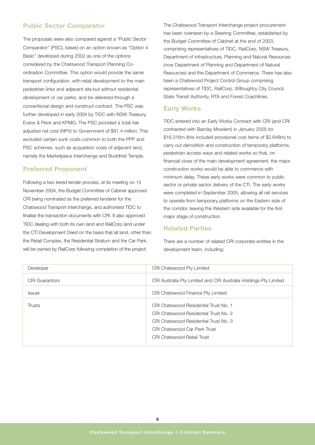### **Public Sector Comparator**

The proposals were also compared against a "Public Sector Comparator" (PSC), based on an option known as "Option 4 Basic" developed during 2002 as one of the options considered by the Chatswood Transport Planning Coordination Committee. This option would provide the same transport configuration, with retail development to the main pedestrian links and adjacent site but without residential development or car parks, and be delivered through a conventional design and construct contract. The PSC was further developed in early 2004 by TIDC with NSW Treasury, Evans & Peck and KPMG. The PSC provided a total risk adjusted net cost (NPV) to Government of \$81.4 million. This excluded certain sunk costs common to both the PPP and PSC schemes, such as acquisition costs of adjacent land, namely the Marketplace Interchange and Buddhist Temple.

#### **Preferred Proponent**

Following a two tiered tender process, at its meeting on 15 November 2004, the Budget Committee of Cabinet approved CRI being nominated as the preferred tenderer for the Chatswood Transport Interchange, and authorised TIDC to finalise the transaction documents with CRI. It also approved TIDC dealing with both its own land and RailCorp land under the CTI Development Deed on the basis that all land, other than the Retail Complex, the Residential Stratum and the Car Park, will be owned by RailCorp following completion of the project.

The Chatswood Transport Interchange project procurement has been overseen by a Steering Committee, established by the Budget Committee of Cabinet at the end of 2003, comprising representatives of TIDC, RailCorp, NSW Treasury, Department of Infrastructure, Planning and Natural Resources (now Department of Planning and Department of Natural Resources) and the Department of Commerce. There has also been a Chatswood Project Control Group comprising representatives of TIDC, RailCorp, Willoughby City Council, State Transit Authority, RTA and Forest Coachlines.

#### **Early Works**

TIDC entered into an Early Works Contract with CRI (and CRI contracted with Barclay Mowlem) in January 2005 for \$16.316m (this included provisional cost items of \$2.648m) to carry out demolition and construction of temporary platforms, pedestrian access ways and related works so that, on financial close of the main development agreement, the major construction works would be able to commence with minimum delay. These early works were common to public sector or private sector delivery of the CTI. The early works were completed in September 2005, allowing all rail services to operate from temporary platforms on the Eastern side of the corridor, leaving the Western side available for the first major stage of construction.

#### **Related Parties**

There are a number of related CRI corporate entities in the development team, including:

| Developer             | CRI Chatswood Pty Limited                                                                                                                                                                           |
|-----------------------|-----------------------------------------------------------------------------------------------------------------------------------------------------------------------------------------------------|
| <b>CRI Guarantors</b> | CRI Australia Pty Limited and CRI Australia Holdings Pty Limited                                                                                                                                    |
| <b>Issuer</b>         | CRI Chatswood Finance Pty Limited                                                                                                                                                                   |
| Trusts                | CRI Chatswood Residential Trust No. 1<br>CRI Chatswood Residential Trust No. 2<br>CRI Chatswood Residential Trust No. 3<br><b>CRI Chatswood Car Park Trust</b><br><b>CRI Chatswood Retail Trust</b> |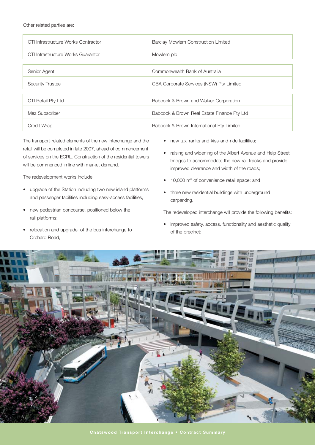Other related parties are:

| CTI Infrastructure Works Contractor | Barclay Mowlem Construction Limited         |  |
|-------------------------------------|---------------------------------------------|--|
| CTI Infrastructure Works Guarantor  | Mowlem plc                                  |  |
|                                     |                                             |  |
| Senior Agent                        | Commonwealth Bank of Australia              |  |
| <b>Security Trustee</b>             | CBA Corporate Services (NSW) Pty Limited    |  |
|                                     |                                             |  |
| CTI Retail Pty Ltd                  | Babcock & Brown and Walker Corporation      |  |
| Mez Subscriber                      | Babcock & Brown Real Estate Finance Pty Ltd |  |
| Credit Wrap                         | Babcock & Brown International Pty Limited   |  |

The transport-related elements of the new interchange and the retail will be completed in late 2007, ahead of commencement of services on the ECRL. Construction of the residential towers will be commenced in line with market demand.

The redevelopment works include:

- upgrade of the Station including two new island platforms and passenger facilities including easy-access facilities;
- new pedestrian concourse, positioned below the rail platforms;
- relocation and upgrade of the bus interchange to Orchard Road;
- new taxi ranks and kiss-and-ride facilities;
- raising and widening of the Albert Avenue and Help Street bridges to accommodate the new rail tracks and provide improved clearance and width of the roads;
- 10,000 m2 of convenience retail space; and
- three new residential buildings with underground carparking.

The redeveloped interchange will provide the following benefits:

• improved safety, access, functionality and aesthetic quality of the precinct;

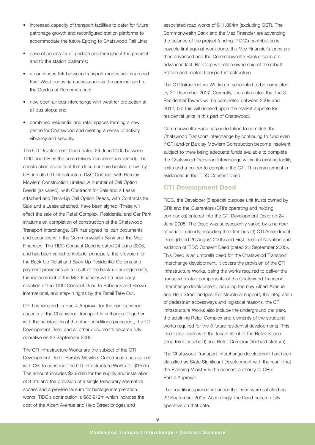- increased capacity of transport facilities to cater for future patronage growth and reconfigured station platforms to accommodate the future Epping to Chatswood Rail Line;
- ease of access for all pedestrians throughout the precinct and to the station platforms;
- a continuous link between transport modes and improved East-West pedestrian access across the precinct and to the Garden of Remembrance;
- new open-air bus interchange with weather protection at all bus stops; and
- combined residential and retail spaces forming a new centre for Chatswood and creating a sense of activity, vibrancy and security.

The CTI Development Deed dated 24 June 2005 between TIDC and CRI is the core delivery document (as varied). The construction aspects of that document are backed down by CRI into its CTI Infrastructure D&C Contract with Barclay Mowlem Construction Limited. A number of Call Option Deeds (as varied), with Contracts for Sale and a Lease attached and Back-Up Call Option Deeds, with Contracts for Sale and a Lease attached, have been signed. These will effect the sale of the Retail Complex, Residential and Car Park stratums on completion of construction of the Chatswood Transport Interchange. CRI has signed its loan documents and securities with the Commonwealth Bank and the Mez Financier. The TIDC Consent Deed is dated 24 June 2005, and has been varied to include, principally, the provision for the Back-Up Retail and Back-Up Residential Options and payment provisions as a result of the back-up arrangements, the replacement of the Mez Financier with a new party, novation of the TIDC Consent Deed to Babcock and Brown International, and step-in rights by the Retail Take Out.

CRI has received its Part 4 Approval for the non-transport aspects of the Chatswood Transport Interchange. Together with the satisfaction of the other conditions precedent, the CTI Development Deed and all other documents became fully operative on 22 September 2005.

The CTI Infrastructure Works are the subject of the CTI Development Deed. Barclay Mowlem Construction has agreed with CRI to construct the CTI Infrastructure Works for \$157m. This amount includes \$2.978m for the supply and installation of 3 lifts and the provision of a single temporary alternative access and a provisional sum for heritage interpretation works. TIDC's contribution is \$63.912m which includes the cost of the Albert Avenue and Help Street bridges and

associated road works of \$11.884m (excluding GST). The Commonwealth Bank and the Mez Financier are advancing the balance of the project funding. TIDC's contribution is payable first against work done, the Mez Financier's loans are then advanced and the Commonwealth Bank's loans are advanced last. RailCorp will retain ownership of the rebuilt Station and related transport infrastructure.

The CTI Infrastructure Works are scheduled to be completed by 31 December 2007. Currently, it is anticipated that the 3 Residential Towers will be completed between 2009 and 2012, but this will depend upon the market appetite for residential units in this part of Chatswood.

Commonwealth Bank has undertaken to complete the Chatswood Transport Interchange by continuing to fund even if CRI and/or Barclay Mowlem Construction become insolvent, subject to there being adequate funds available to complete the Chatswood Transport Interchange within its existing facility limits and a builder to complete the CTI. This arrangement is evidenced in the TIDC Consent Deed.

### **CTI Development Deed**

TIDC, the Developer (5 special purpose unit trusts owned by CRI) and the Guarantors (CRI's operating and holding companies) entered into the CTI Development Deed on 24 June 2005. The Deed was subsequently varied by a number of variation deeds, including the Omnibus (3) CTI Amendment Deed (dated 26 August 2005) and First Deed of Novation and Variation of TIDC Consent Deed (dated 22 September 2005). This Deed is an umbrella deed for the Chatswood Transport Interchange development. It covers the provision of the CTI Infrastructure Works, being the works required to deliver the transport related components of the Chatswood Transport Interchange development, including the new Albert Avenue and Help Street bridges. For structural support, the integration of pedestrian accessways and logistical reasons, the CTI Infrastructure Works also include the underground car park, the adjoining Retail Complex and elements of the structural works required for the 3 future residential developments. This Deed also deals with the tenant fitout of the Retail Space (long term leasehold) and Retail Complex (freehold stratum).

The Chatswood Transport Interchange development has been classified as State Significant Development with the result that the Planning Minister is the consent authority to CRI's Part 4 Approval.

The conditions precedent under the Deed were satisfied on 22 September 2005. Accordingly, the Deed became fully operative on that date.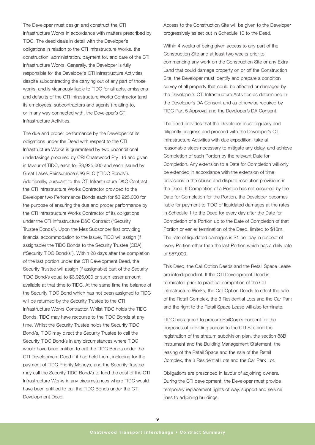The Developer must design and construct the CTI Infrastructure Works in accordance with matters prescribed by TIDC. The deed deals in detail with the Developer's obligations in relation to the CTI Infrastructure Works, the construction, administration, payment for, and care of the CTI Infrastructure Works. Generally, the Developer is fully responsible for the Developer's CTI Infrastructure Activities despite subcontracting the carrying out of any part of those works, and is vicariously liable to TIDC for all acts, omissions and defaults of the CTI Infrastructure Works Contractor (and its employees, subcontractors and agents ) relating to, or in any way connected with, the Developer's CTI Infrastructure Activities.

The due and proper performance by the Developer of its obligations under the Deed with respect to the CTI Infrastructure Works is guaranteed by two unconditional undertakings procured by CRI Chatswood Pty Ltd and given in favour of TIDC, each for \$3,925,000 and each issued by Great Lakes Reinsurance (UK) PLC ("TIDC Bonds"). Additionally, pursuant to the CTI Infrastructure D&C Contract, the CTI Infrastructure Works Contractor provided to the Developer two Performance Bonds each for \$3,925,000 for the purpose of ensuring the due and proper performance by the CTI Infrastructure Works Contractor of its obligations under the CTI Infrastructure D&C Contract ("Security Trustee Bonds"). Upon the Mez Subscriber first providing financial accommodation to the Issuer, TIDC will assign (if assignable) the TIDC Bonds to the Security Trustee (CBA) ("Security TIDC Bond/s"). Within 28 days after the completion of the last portion under the CTI Development Deed, the Security Trustee will assign (if assignable) part of the Security TIDC Bond/s equal to \$3,925,000 or such lesser amount available at that time to TIDC. At the same time the balance of the Security TIDC Bond which has not been assigned to TIDC will be returned by the Security Trustee to the CTI Infrastructure Works Contractor. Whilst TIDC holds the TIDC Bonds, TIDC may have recourse to the TIDC Bonds at any time. Whilst the Security Trustee holds the Security TIDC Bond/s, TIDC may direct the Security Trustee to call the Security TIDC Bond/s in any circumstances where TIDC would have been entitled to call the TIDC Bonds under the CTI Development Deed if it had held them, including for the payment of TIDC Priority Moneys, and the Security Trustee may call the Security TIDC Bond/s to fund the cost of the CTI Infrastructure Works in any circumstances where TIDC would have been entitled to call the TIDC Bonds under the CTI Development Deed.

Access to the Construction Site will be given to the Developer progressively as set out in Schedule 10 to the Deed.

Within 4 weeks of being given access to any part of the Construction Site and at least two weeks prior to commencing any work on the Construction Site or any Extra Land that could damage property on or off the Construction Site, the Developer must identify and prepare a condition survey of all property that could be affected or damaged by the Developer's CTI Infrastructure Activities as determined in the Developer's DA Consent and as otherwise required by TIDC Part 5 Approval and the Developer's DA Consent.

The deed provides that the Developer must regularly and diligently progress and proceed with the Developer's CTI Infrastructure Activities with due expedition, take all reasonable steps necessary to mitigate any delay, and achieve Completion of each Portion by the relevant Date for Completion. Any extension to a Date for Completion will only be extended in accordance with the extension of time provisions in the clause and dispute resolution provisions in the Deed. If Completion of a Portion has not occurred by the Date for Completion for the Portion, the Developer becomes liable for payment to TIDC of liquidated damages at the rates in Schedule 1 to the Deed for every day after the Date for Completion of a Portion up to the Date of Completion of that Portion or earlier termination of the Deed, limited to \$10m. The rate of liquidated damages is \$1 per day in respect of every Portion other than the last Portion which has a daily rate of \$57,000.

This Deed, the Call Option Deeds and the Retail Space Lease are interdependent. If the CTI Development Deed is terminated prior to practical completion of the CTI Infrastructure Works, the Call Option Deeds to effect the sale of the Retail Complex, the 3 Residential Lots and the Car Park and the right to the Retail Space Lease will also terminate.

TIDC has agreed to procure RailCorp's consent for the purposes of providing access to the CTI Site and the registration of the stratum subdivision plan, the section 88B Instrument and the Building Management Statement, the leasing of the Retail Space and the sale of the Retail Complex, the 3 Residential Lots and the Car Park Lot.

Obligations are prescribed in favour of adjoining owners. During the CTI development, the Developer must provide temporary replacement rights of way, support and service lines to adjoining buildings.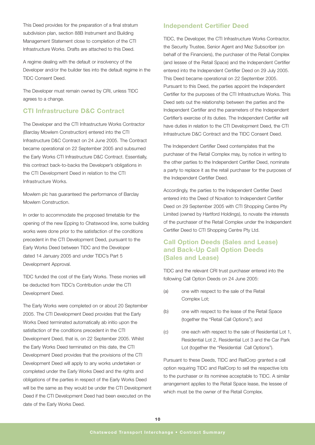This Deed provides for the preparation of a final stratum subdivision plan, section 88B Instrument and Building Management Statement close to completion of the CTI Infrastructure Works. Drafts are attached to this Deed.

A regime dealing with the default or insolvency of the Developer and/or the builder ties into the default regime in the TIDC Consent Deed.

The Developer must remain owned by CRI, unless TIDC agrees to a change.

# **CTI Infrastructure D&C Contract**

The Developer and the CTI Infrastructure Works Contractor (Barclay Mowlem Construction) entered into the CTI Infrastructure D&C Contract on 24 June 2005. The Contract became operational on 22 September 2005 and subsumed the Early Works CTI Infrastructure D&C Contract. Essentially, this contract back-to-backs the Developer's obligations in the CTI Development Deed in relation to the CTI Infrastructure Works.

Mowlem plc has guaranteed the performance of Barclay Mowlem Construction.

In order to accommodate the proposed timetable for the opening of the new Epping to Chatswood line, some building works were done prior to the satisfaction of the conditions precedent in the CTI Development Deed, pursuant to the Early Works Deed between TIDC and the Developer dated 14 January 2005 and under TIDC's Part 5 Development Approval.

TIDC funded the cost of the Early Works. These monies will be deducted from TIDC's Contribution under the CTI Development Deed.

The Early Works were completed on or about 20 September 2005. The CTI Development Deed provides that the Early Works Deed terminated automatically ab initio upon the satisfaction of the conditions precedent in the CTI Development Deed, that is, on 22 September 2005. Whilst the Early Works Deed terminated on this date, the CTI Development Deed provides that the provisions of the CTI Development Deed will apply to any works undertaken or completed under the Early Works Deed and the rights and obligations of the parties in respect of the Early Works Deed will be the same as they would be under the CTI Development Deed if the CTI Development Deed had been executed on the date of the Early Works Deed.

### **Independent Certifier Deed**

TIDC, the Developer, the CTI Infrastructure Works Contractor, the Security Trustee, Senior Agent and Mez Subscriber (on behalf of the Financiers), the purchaser of the Retail Complex (and lessee of the Retail Space) and the Independent Certifier entered into the Independent Certifier Deed on 29 July 2005. This Deed became operational on 22 September 2005. Pursuant to this Deed, the parties appoint the Independent Certifier for the purposes of the CTI Infrastructure Works. This Deed sets out the relationship between the parties and the Independent Certifier and the parameters of the Independent Certifier's exercise of its duties. The Independent Certifier will have duties in relation to the CTI Development Deed, the CTI Infrastructure D&C Contract and the TIDC Consent Deed.

The Independent Certifier Deed contemplates that the purchaser of the Retail Complex may, by notice in writing to the other parties to the Independent Certifier Deed, nominate a party to replace it as the retail purchaser for the purposes of the Independent Certifier Deed.

Accordingly, the parties to the Independent Certifier Deed entered into the Deed of Novation to Independent Certifier Deed on 29 September 2005 with CTI Shopping Centre Pty Limited (owned by Hartford Holdings), to novate the interests of the purchaser of the Retail Complex under the Independent Certifier Deed to CTI Shopping Centre Pty Ltd.

# **Call Option Deeds (Sales and Lease) and Back-Up Call Option Deeds (Sales and Lease)**

TIDC and the relevant CRI trust purchaser entered into the following Call Option Deeds on 24 June 2005:

- (a) one with respect to the sale of the Retail Complex Lot;
- (b) one with respect to the lease of the Retail Space (together the "Retail Call Options"); and
- (c) one each with respect to the sale of Residential Lot 1, Residential Lot 2, Residential Lot 3 and the Car Park Lot (together the "Residential Call Options").

Pursuant to these Deeds, TIDC and RailCorp granted a call option requiring TIDC and RailCorp to sell the respective lots to the purchaser or its nominee acceptable to TIDC. A similar arrangement applies to the Retail Space lease, the lessee of which must be the owner of the Retail Complex.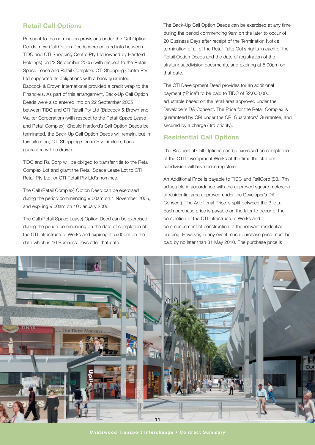# **Retail Call Options**

Pursuant to the nomination provisions under the Call Option Deeds, new Call Option Deeds were entered into between TIDC and CTI Shopping Centre Pty Ltd (owned by Hartford Holdings) on 22 September 2005 (with respect to the Retail Space Lease and Retail Complex). CTI Shopping Centre Pty Ltd supported its obligations with a bank guarantee. Babcock & Brown International provided a credit wrap to the Financiers. As part of this arrangement, Back-Up Call Option Deeds were also entered into on 22 September 2005 between TIDC and CTI Retail Pty Ltd (Babcock & Brown and Walker Corporation) (with respect to the Retail Space Lease and Retail Complex). Should Hartford's Call Option Deeds be terminated, the Back-Up Call Option Deeds will remain, but in this situation, CTI Shopping Centre Pty Limited's bank guarantee will be drawn.

TIDC and RailCorp will be obliged to transfer title to the Retail Complex Lot and grant the Retail Space Lease Lot to CTI Retail Pty Ltd, or CTI Retail Pty Ltd's nominee.

The Call (Retail Complex) Option Deed can be exercised during the period commencing 9.00am on 1 November 2005, and expiring 9.00am on 10 January 2006.

The Call (Retail Space Lease) Option Deed can be exercised during the period commencing on the date of completion of the CTI Infrastructure Works and expiring at 5.00pm on the date which is 10 Business Days after that date.

The Back-Up Call Option Deeds can be exercised at any time during the period commencing 9am on the later to occur of 20 Business Days after receipt of the Termination Notice, termination of all of the Retail Take Out's rights in each of the Retail Option Deeds and the date of registration of the stratum subdivision documents, and expiring at 5.00pm on that date.

The CTI Development Deed provides for an additional payment ("Price") to be paid to TIDC of \$2,000,000, adjustable based on the retail area approved under the Developer's DA Consent. The Price for the Retail Complex is guaranteed by CRI under the CRI Guarantors' Guarantee, and secured by a charge (3rd priority).

#### **Residential Call Options**

The Residential Call Options can be exercised on completion of the CTI Development Works at the time the stratum subdivision will have been registered.

An Additional Price is payable to TIDC and RailCorp (\$3.17m adjustable in accordance with the approved square meterage of residential area approved under the Developer's DA Consent). The Additional Price is split between the 3 lots. Each purchase price is payable on the later to occur of the completion of the CTI Infrastructure Works and commencement of construction of the relevant residential building. However, in any event, each purchase price must be paid by no later than 31 May 2010. The purchase price is

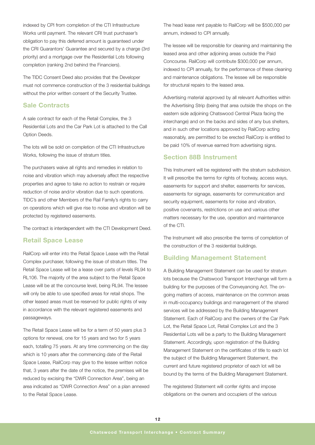indexed by CPI from completion of the CTI Infrastructure Works until payment. The relevant CRI trust purchaser's obligation to pay this deferred amount is guaranteed under the CRI Guarantors' Guarantee and secured by a charge (3rd priority) and a mortgage over the Residential Lots following completion (ranking 2nd behind the Financiers).

The TIDC Consent Deed also provides that the Developer must not commence construction of the 3 residential buildings without the prior written consent of the Security Trustee.

#### **Sale Contracts**

A sale contract for each of the Retail Complex, the 3 Residential Lots and the Car Park Lot is attached to the Call Option Deeds.

The lots will be sold on completion of the CTI Infrastructure Works, following the issue of stratum titles.

The purchasers waive all rights and remedies in relation to noise and vibration which may adversely affect the respective properties and agree to take no action to restrain or require reduction of noise and/or vibration due to such operations. TIDC's and other Members of the Rail Family's rights to carry on operations which will give rise to noise and vibration will be protected by registered easements.

The contract is interdependent with the CTI Development Deed.

#### **Retail Space Lease**

RailCorp will enter into the Retail Space Lease with the Retail Complex purchaser, following the issue of stratum titles. The Retail Space Lease will be a lease over parts of levels RL94 to RL106. The majority of the area subject to the Retail Space Lease will be at the concourse level, being RL94. The lessee will only be able to use specified areas for retail shops. The other leased areas must be reserved for public rights of way in accordance with the relevant registered easements and passageways.

The Retail Space Lease will be for a term of 50 years plus 3 options for renewal, one for 15 years and two for 5 years each, totalling 75 years. At any time commencing on the day which is 10 years after the commencing date of the Retail Space Lease, RailCorp may give to the lessee written notice that, 3 years after the date of the notice, the premises will be reduced by excising the "DWR Connection Area", being an area indicated as "DWR Connection Area" on a plan annexed to the Retail Space Lease.

The head lease rent payable to RailCorp will be \$500,000 per annum, indexed to CPI annually.

The lessee will be responsible for cleaning and maintaining the leased area and other adjoining areas outside the Paid Concourse. RailCorp will contribute \$300,000 per annum, indexed to CPI annually, for the performance of these cleaning and maintenance obligations. The lessee will be responsible for structural repairs to the leased area.

Advertising material approved by all relevant Authorities within the Advertising Strip (being that area outside the shops on the eastern side adjoining Chatswood Central Plaza facing the interchange) and on the backs and sides of any bus shelters, and in such other locations approved by RailCorp acting reasonably, are permitted to be erected RailCorp is entitled to be paid 10% of revenue earned from advertising signs.

#### **Section 88B Instrument**

This Instrument will be registered with the stratum subdivision. It will prescribe the terms for rights of footway, access ways, easements for support and shelter, easements for services, easements for signage, easements for communication and security equipment, easements for noise and vibration, positive covenants, restrictions on use and various other matters necessary for the use, operation and maintenance of the CTI.

The Instrument will also prescribe the terms of completion of the construction of the 3 residential buildings.

#### **Building Management Statement**

A Building Management Statement can be used for stratum lots because the Chatswood Transport Interchange will form a building for the purposes of the Conveyancing Act. The ongoing matters of access, maintenance on the common areas in multi-occupancy buildings and management of the shared services will be addressed by the Building Management Statement. Each of RailCorp and the owners of the Car Park Lot, the Retail Space Lot, Retail Complex Lot and the 3 Residential Lots will be a party to the Building Management Statement. Accordingly, upon registration of the Building Management Statement on the certificates of title to each lot the subject of the Building Management Statement, the current and future registered proprietor of each lot will be bound by the terms of the Building Management Statement.

The registered Statement will confer rights and impose obligations on the owners and occupiers of the various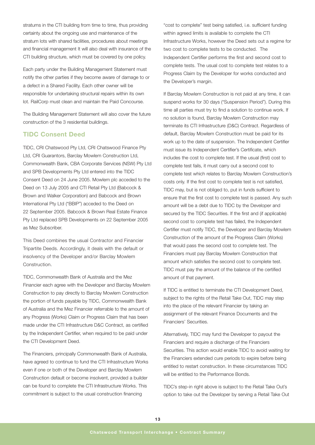stratums in the CTI building from time to time, thus providing certainty about the ongoing use and maintenance of the stratum lots with shared facilities, procedures about meetings and financial management It will also deal with insurance of the CTI building structure, which must be covered by one policy.

Each party under the Building Management Statement must notify the other parties if they become aware of damage to or a defect in a Shared Facility. Each other owner will be responsible for undertaking structural repairs within its own lot. RailCorp must clean and maintain the Paid Concourse.

The Building Management Statement will also cover the future construction of the 3 residential buildings.

## **TIDC Consent Deed**

TIDC, CRI Chatswood Pty Ltd, CRI Chatswood Finance Pty Ltd, CRI Guarantors, Barclay Mowlem Construction Ltd, Commonwealth Bank, CBA Corporate Services (NSW) Pty Ltd and SPB Developments Pty Ltd entered into the TIDC Consent Deed on 24 June 2005. Mowlem plc acceded to the Deed on 13 July 2005 and CTI Retail Pty Ltd (Babcock & Brown and Walker Corporation) and Babcock and Brown International Pty Ltd ("BBIP") acceded to the Deed on 22 September 2005. Babcock & Brown Real Estate Finance Pty Ltd replaced SPB Developments on 22 September 2005 as Mez Subscriber.

This Deed combines the usual Contractor and Financier Tripartite Deeds. Accordingly, it deals with the default or insolvency of the Developer and/or Barclay Mowlem **Construction** 

TIDC, Commonwealth Bank of Australia and the Mez Financier each agree with the Developer and Barclay Mowlem Construction to pay directly to Barclay Mowlem Construction the portion of funds payable by TIDC, Commonwealth Bank of Australia and the Mez Financier referrable to the amount of any Progress (Works) Claim or Progress Claim that has been made under the CTI Infrastructure D&C Contract, as certified by the Independent Certifier, when required to be paid under the CTI Development Deed.

The Financiers, principally Commonwealth Bank of Australia, have agreed to continue to fund the CTI Infrastructure Works even if one or both of the Developer and Barclay Mowlem Construction default or become insolvent, provided a builder can be found to complete the CTI Infrastructure Works. This commitment is subject to the usual construction financing

"cost to complete" test being satisfied, i.e. sufficient funding within agreed limits is available to complete the CTI Infrastructure Works, however the Deed sets out a regime for two cost to complete tests to be conducted. The Independent Certifier performs the first and second cost to complete tests. The usual cost to complete test relates to a Progress Claim by the Developer for works conducted and the Developer's margin.

If Barclay Mowlem Construction is not paid at any time, it can suspend works for 30 days ("Suspension Period"). During this time all parties must try to find a solution to continue work. If no solution is found, Barclay Mowlem Construction may terminate its CTI Infrastructure (D&C) Contract. Regardless of default, Barclay Mowlem Construction must be paid for its work up to the date of suspension. The Independent Certifier must issue its Independent Certifier's Certificate, which includes the cost to complete test. If the usual (first) cost to complete test fails, it must carry out a second cost to complete test which relates to Barclay Mowlem Construction's costs only. If the first cost to complete test is not satisfied, TIDC may, but is not obliged to, put in funds sufficient to ensure that the first cost to complete test is passed. Any such amount will be a debt due to TIDC by the Developer and secured by the TIDC Securities. If the first and (if applicable) second cost to complete test has failed, the Independent Certifier must notify TIDC, the Developer and Barclay Mowlem Construction of the amount of the Progress Claim (Works) that would pass the second cost to complete test. The Financiers must pay Barclay Mowlem Construction that amount which satisfies the second cost to complete test. TIDC must pay the amount of the balance of the certified amount of that payment.

If TIDC is entitled to terminate the CTI Development Deed, subject to the rights of the Retail Take Out, TIDC may step into the place of the relevant Financier by taking an assignment of the relevant Finance Documents and the Financiers' Securities.

Alternatively, TIDC may fund the Developer to payout the Financiers and require a discharge of the Financiers Securities. This action would enable TIDC to avoid waiting for the Financiers extended cure periods to expire before being entitled to restart construction. In these circumstances TIDC will be entitled to the Performance Bonds.

TIDC's step-in right above is subject to the Retail Take Out's option to take out the Developer by serving a Retail Take Out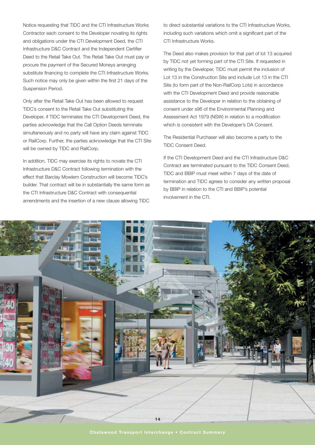Notice requesting that TIDC and the CTI Infrastructure Works Contractor each consent to the Developer novating its rights and obligations under the CTI Development Deed, the CTI Infrastructure D&C Contract and the Independent Certifier Deed to the Retail Take Out. The Retail Take Out must pay or procure the payment of the Secured Moneys arranging substitute financing to complete the CTI Infrastructure Works. Such notice may only be given within the first 21 days of the Suspension Period.

Only after the Retail Take Out has been allowed to request TIDC's consent to the Retail Take Out substituting the Developer, if TIDC terminates the CTI Development Deed, the parties acknowledge that the Call Option Deeds terminate simultaneously and no party will have any claim against TIDC or RailCorp. Further, the parties acknowledge that the CTI Site will be owned by TIDC and RailCorp.

In addition, TIDC may exercise its rights to novate the CTI Infrastructure D&C Contract following termination with the effect that Barclay Mowlem Construction will become TIDC's builder. That contract will be in substantially the same form as the CTI Infrastructure D&C Contract with consequential amendments and the insertion of a new clause allowing TIDC

to direct substantial variations to the CTI Infrastructure Works, including such variations which omit a significant part of the CTI Infrastructure Works.

The Deed also makes provision for that part of lot 13 acquired by TIDC not yet forming part of the CTI Site. If requested in writing by the Developer, TIDC must permit the inclusion of Lot 13 in the Construction Site and include Lot 13 in the CTI Site (to form part of the Non-RailCorp Lots) in accordance with the CTI Development Deed and provide reasonable assistance to the Developer in relation to the obtaining of consent under s96 of the Environmental Planning and Assessment Act 1979 (NSW) in relation to a modification which is consistent with the Developer's DA Consent.

The Residential Purchaser will also become a party to the TIDC Consent Deed.

If the CTI Development Deed and the CTI Infrastructure D&C Contract are terminated pursuant to the TIDC Consent Deed, TIDC and BBIP must meet within 7 days of the date of termination and TIDC agrees to consider any written proposal by BBIP in relation to the CTI and BBIP's potential involvement in the CTI.